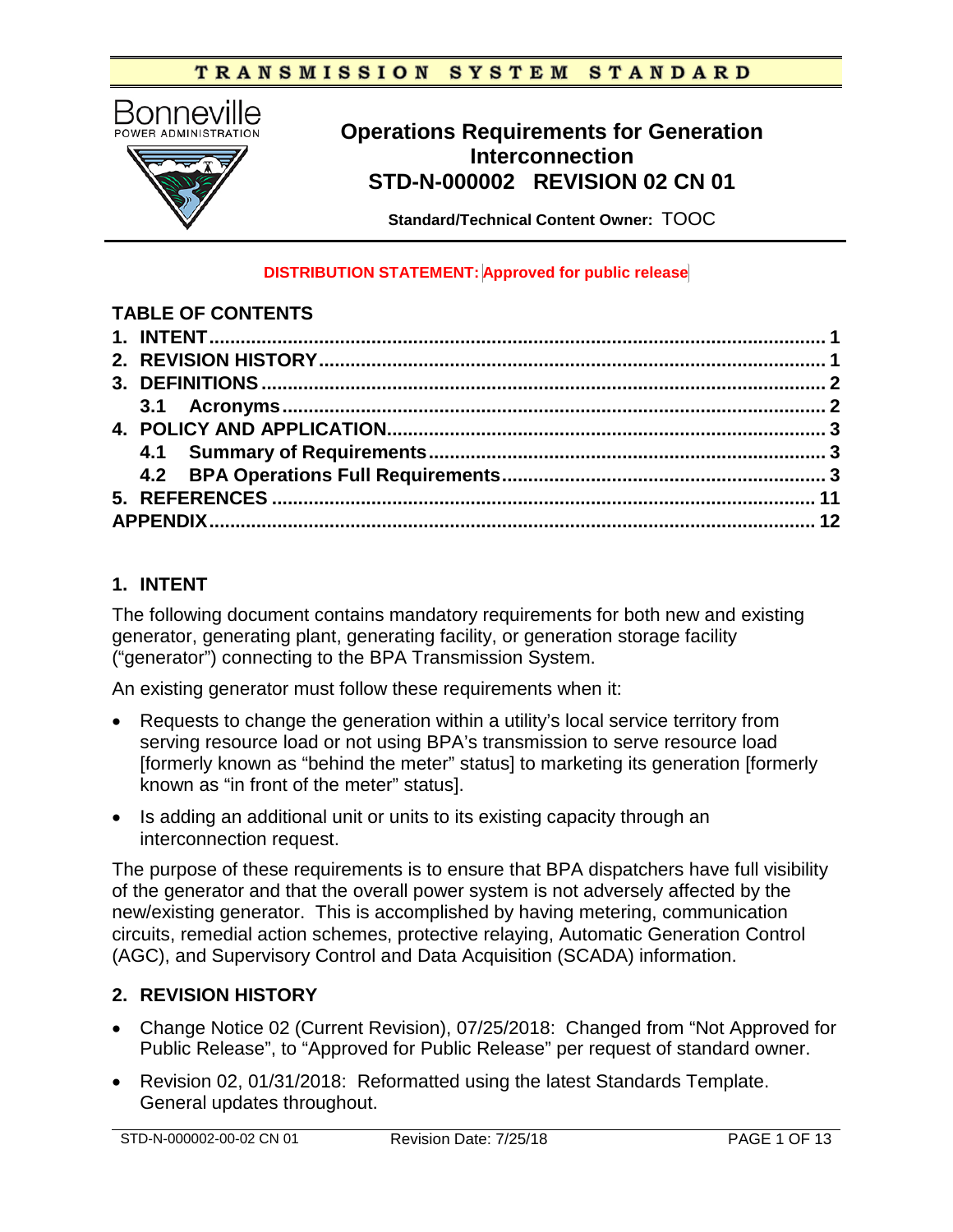#### TRANSMISSION SYSTEM **STANDARD**



# **Operations Requirements for Generation Interconnection STD-N-000002 REVISION 02 CN 01**

**Standard/Technical Content Owner:** TOOC

#### **DISTRIBUTION STATEMENT: Approved for public release**

#### **TABLE OF CONTENTS**

# **1. INTENT**

The following document contains mandatory requirements for both new and existing generator, generating plant, generating facility, or generation storage facility ("generator") connecting to the BPA Transmission System.

An existing generator must follow these requirements when it:

- Requests to change the generation within a utility's local service territory from serving resource load or not using BPA's transmission to serve resource load [formerly known as "behind the meter" status] to marketing its generation [formerly known as "in front of the meter" status].
- Is adding an additional unit or units to its existing capacity through an interconnection request.

The purpose of these requirements is to ensure that BPA dispatchers have full visibility of the generator and that the overall power system is not adversely affected by the new/existing generator. This is accomplished by having metering, communication circuits, remedial action schemes, protective relaying, Automatic Generation Control (AGC), and Supervisory Control and Data Acquisition (SCADA) information.

# **2. REVISION HISTORY**

- Change Notice 02 (Current Revision), 07/25/2018: Changed from "Not Approved for Public Release", to "Approved for Public Release" per request of standard owner.
- Revision 02, 01/31/2018: Reformatted using the latest Standards Template. General updates throughout.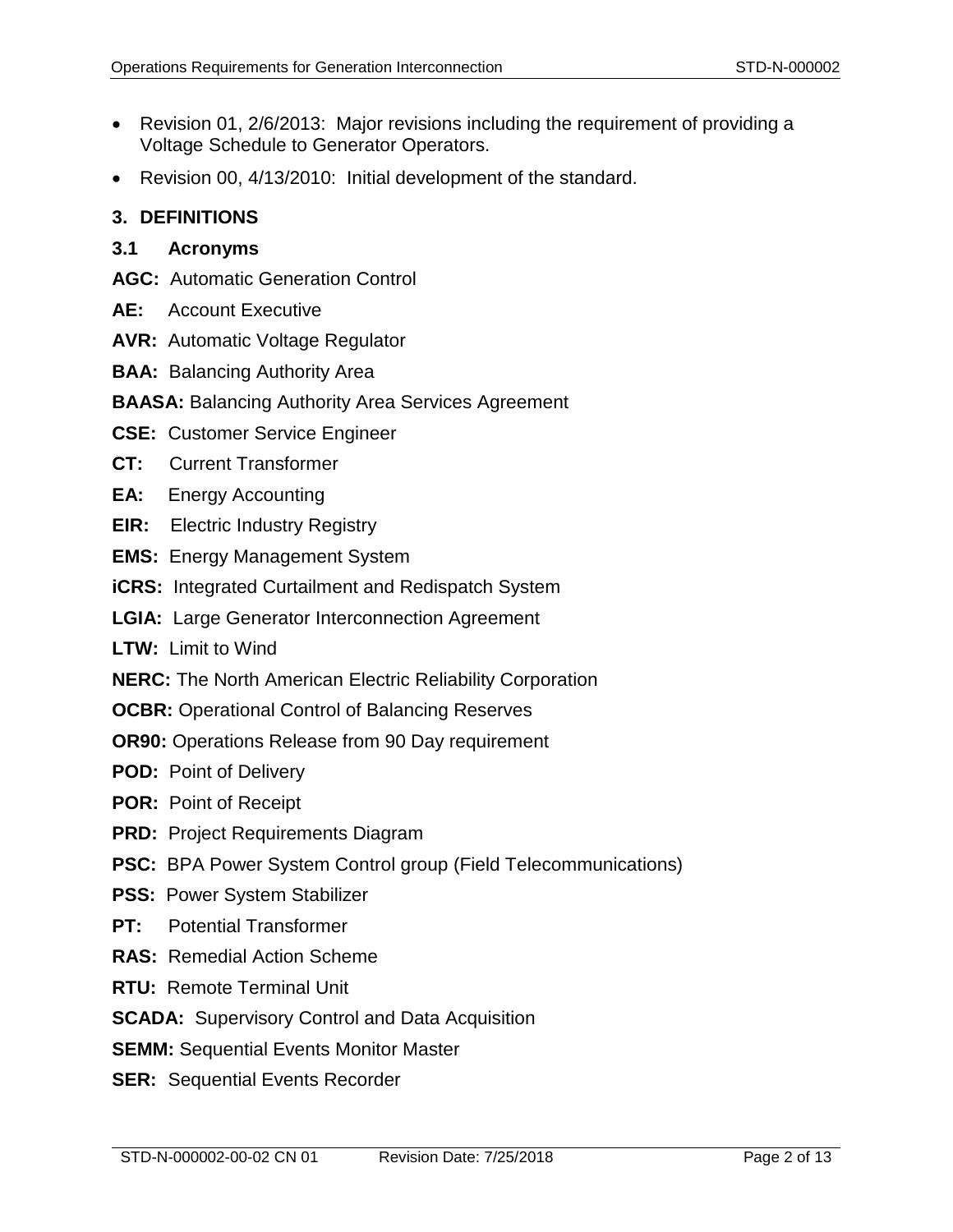- Revision 01, 2/6/2013: Major revisions including the requirement of providing a Voltage Schedule to Generator Operators.
- Revision 00, 4/13/2010: Initial development of the standard.

## **3. DEFINITIONS**

#### **3.1 Acronyms**

- **AGC:** Automatic Generation Control
- **AE:** Account Executive
- **AVR:** Automatic Voltage Regulator
- **BAA:** Balancing Authority Area
- **BAASA:** Balancing Authority Area Services Agreement
- **CSE:** Customer Service Engineer
- **CT:** Current Transformer
- **EA:** Energy Accounting
- **EIR:** Electric Industry Registry
- **EMS:** Energy Management System
- **iCRS:** Integrated Curtailment and Redispatch System
- **LGIA:** Large Generator Interconnection Agreement
- **LTW:** Limit to Wind
- **NERC:** The North American Electric Reliability Corporation
- **OCBR:** Operational Control of Balancing Reserves
- **OR90:** Operations Release from 90 Day requirement
- **POD:** Point of Delivery
- **POR:** Point of Receipt
- **PRD:** Project Requirements Diagram
- **PSC:** BPA Power System Control group (Field Telecommunications)
- **PSS:** Power System Stabilizer
- **PT:** Potential Transformer
- **RAS:** Remedial Action Scheme
- **RTU:** Remote Terminal Unit
- **SCADA:** Supervisory Control and Data Acquisition
- **SEMM:** Sequential Events Monitor Master
- **SER:** Sequential Events Recorder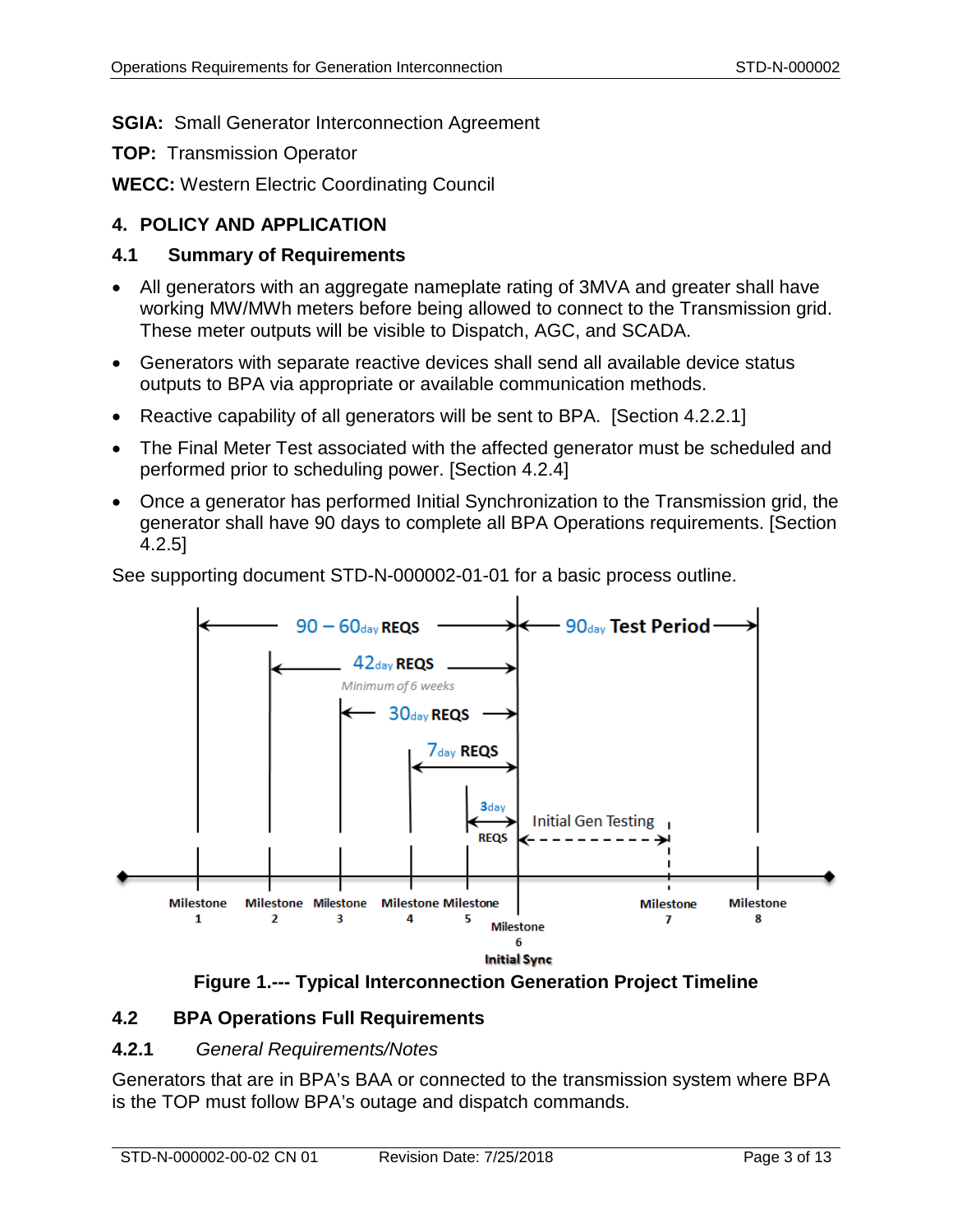# **SGIA:** Small Generator Interconnection Agreement

**TOP:** Transmission Operator

**WECC:** Western Electric Coordinating Council

# **4. POLICY AND APPLICATION**

# **4.1 Summary of Requirements**

- All generators with an aggregate nameplate rating of 3MVA and greater shall have working MW/MWh meters before being allowed to connect to the Transmission grid. These meter outputs will be visible to Dispatch, AGC, and SCADA.
- Generators with separate reactive devices shall send all available device status outputs to BPA via appropriate or available communication methods.
- Reactive capability of all generators will be sent to BPA. [Section [4.2.2.1\]](#page-3-0)
- The Final Meter Test associated with the affected generator must be scheduled and performed prior to scheduling power. [Section [4.2.4\]](#page-8-0)
- Once a generator has performed Initial Synchronization to the Transmission grid, the generator shall have 90 days to complete all BPA Operations requirements. [Section [4.2.5\]](#page-9-0)



See supporting document STD-N-000002-01-01 for a basic process outline.



# <span id="page-2-0"></span>**4.2 BPA Operations Full Requirements**

#### **4.2.1** *General Requirements/Notes*

Generators that are in BPA's BAA or connected to the transmission system where BPA is the TOP must follow BPA's outage and dispatch commands.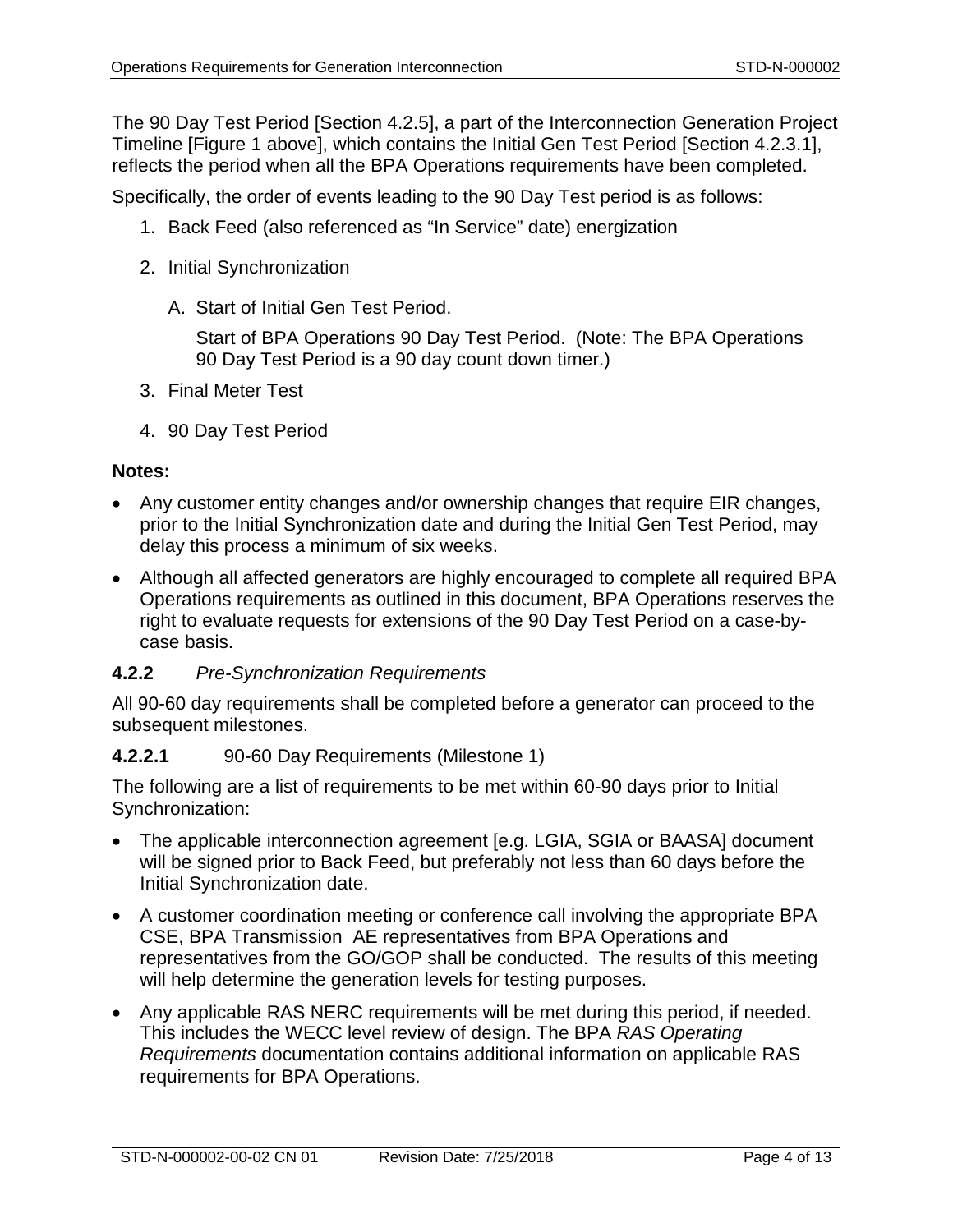The 90 Day Test Period [Section [4.2.5\]](#page-9-0), a part of the Interconnection Generation Project Timeline [\[Figure 1](#page-2-0) above], which contains the Initial Gen Test Period [Section [4.2.3.1\]](#page-7-0), reflects the period when all the BPA Operations requirements have been completed.

Specifically, the order of events leading to the 90 Day Test period is as follows:

- 1. Back Feed (also referenced as "In Service" date) energization
- 2. Initial Synchronization
	- A. Start of Initial Gen Test Period.

Start of BPA Operations 90 Day Test Period. (Note: The BPA Operations 90 Day Test Period is a 90 day count down timer.)

- 3. Final Meter Test
- 4. 90 Day Test Period

#### **Notes:**

- Any customer entity changes and/or ownership changes that require EIR changes, prior to the Initial Synchronization date and during the Initial Gen Test Period, may delay this process a minimum of six weeks.
- Although all affected generators are highly encouraged to complete all required BPA Operations requirements as outlined in this document, BPA Operations reserves the right to evaluate requests for extensions of the 90 Day Test Period on a case-bycase basis.

#### **4.2.2** *Pre-Synchronization Requirements*

All 90-60 day requirements shall be completed before a generator can proceed to the subsequent milestones.

#### <span id="page-3-0"></span>**4.2.2.1** 90-60 Day Requirements (Milestone 1)

The following are a list of requirements to be met within 60-90 days prior to Initial Synchronization:

- The applicable interconnection agreement [e.g. LGIA, SGIA or BAASA] document will be signed prior to Back Feed, but preferably not less than 60 days before the Initial Synchronization date.
- A customer coordination meeting or conference call involving the appropriate BPA CSE, BPA Transmission AE representatives from BPA Operations and representatives from the GO/GOP shall be conducted. The results of this meeting will help determine the generation levels for testing purposes.
- Any applicable RAS NERC requirements will be met during this period, if needed. This includes the WECC level review of design. The BPA *RAS Operating Requirements* documentation contains additional information on applicable RAS requirements for BPA Operations.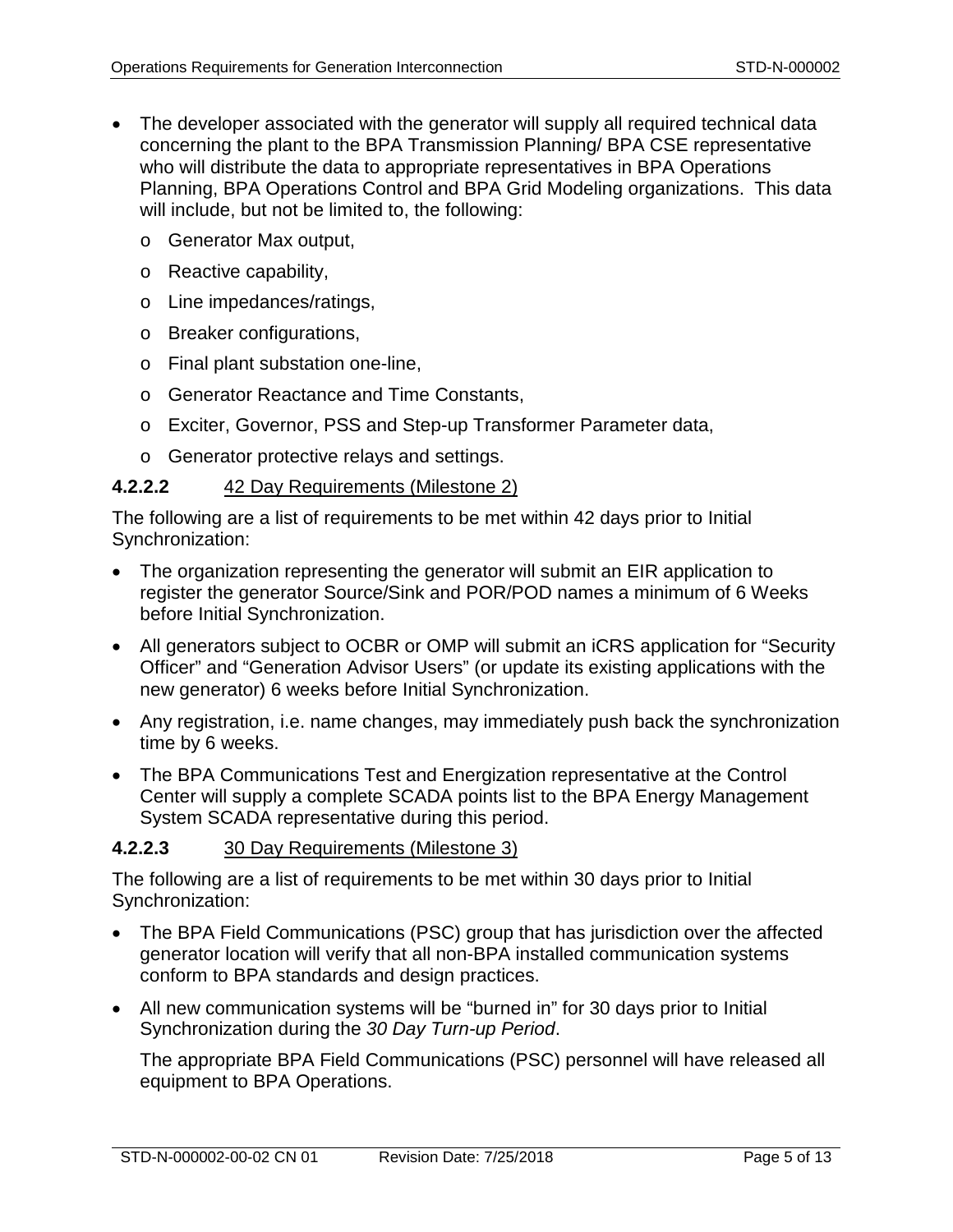- The developer associated with the generator will supply all required technical data concerning the plant to the BPA Transmission Planning/ BPA CSE representative who will distribute the data to appropriate representatives in BPA Operations Planning, BPA Operations Control and BPA Grid Modeling organizations. This data will include, but not be limited to, the following:
	- o Generator Max output,
	- o Reactive capability,
	- o Line impedances/ratings,
	- o Breaker configurations,
	- o Final plant substation one-line,
	- o Generator Reactance and Time Constants,
	- o Exciter, Governor, PSS and Step-up Transformer Parameter data,
	- o Generator protective relays and settings.

# **4.2.2.2** 42 Day Requirements (Milestone 2)

The following are a list of requirements to be met within 42 days prior to Initial Synchronization:

- The organization representing the generator will submit an EIR application to register the generator Source/Sink and POR/POD names a minimum of 6 Weeks before Initial Synchronization.
- All generators subject to OCBR or OMP will submit an iCRS application for "Security Officer" and "Generation Advisor Users" (or update its existing applications with the new generator) 6 weeks before Initial Synchronization.
- Any registration, i.e. name changes, may immediately push back the synchronization time by 6 weeks.
- The BPA Communications Test and Energization representative at the Control Center will supply a complete SCADA points list to the BPA Energy Management System SCADA representative during this period.

# **4.2.2.3** 30 Day Requirements (Milestone 3)

The following are a list of requirements to be met within 30 days prior to Initial Synchronization:

- The BPA Field Communications (PSC) group that has jurisdiction over the affected generator location will verify that all non-BPA installed communication systems conform to BPA standards and design practices.
- All new communication systems will be "burned in" for 30 days prior to Initial Synchronization during the *30 Day Turn-up Period*.

The appropriate BPA Field Communications (PSC) personnel will have released all equipment to BPA Operations.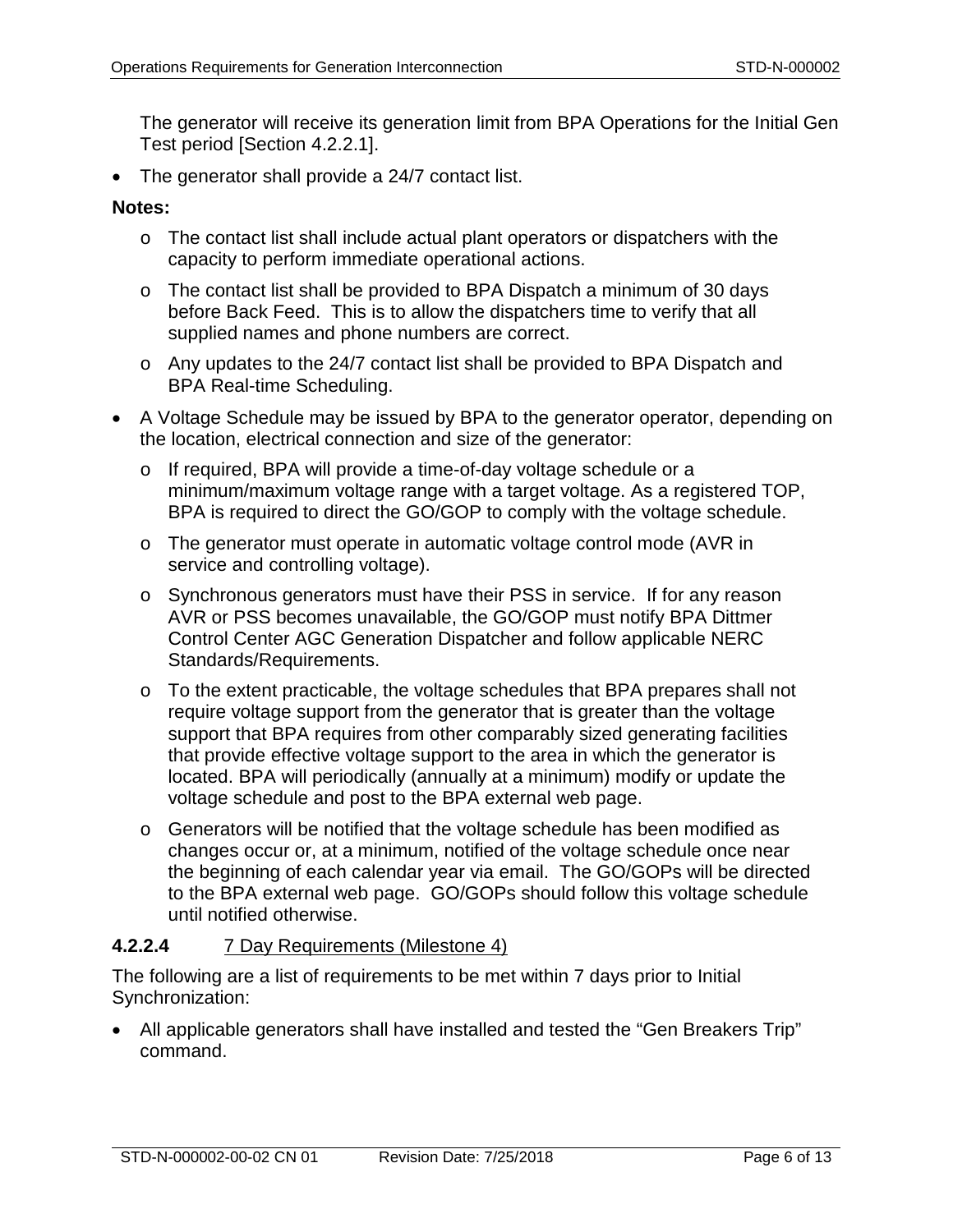The generator will receive its generation limit from BPA Operations for the Initial Gen Test period [Section [4.2.2.1\]](#page-3-0).

• The generator shall provide a 24/7 contact list.

## **Notes:**

- o The contact list shall include actual plant operators or dispatchers with the capacity to perform immediate operational actions.
- o The contact list shall be provided to BPA Dispatch a minimum of 30 days before Back Feed. This is to allow the dispatchers time to verify that all supplied names and phone numbers are correct.
- o Any updates to the 24/7 contact list shall be provided to BPA Dispatch and BPA Real-time Scheduling.
- A Voltage Schedule may be issued by BPA to the generator operator, depending on the location, electrical connection and size of the generator:
	- o If required, BPA will provide a time-of-day voltage schedule or a minimum/maximum voltage range with a target voltage. As a registered TOP, BPA is required to direct the GO/GOP to comply with the voltage schedule.
	- o The generator must operate in automatic voltage control mode (AVR in service and controlling voltage).
	- o Synchronous generators must have their PSS in service. If for any reason AVR or PSS becomes unavailable, the GO/GOP must notify BPA Dittmer Control Center AGC Generation Dispatcher and follow applicable NERC Standards/Requirements.
	- o To the extent practicable, the voltage schedules that BPA prepares shall not require voltage support from the generator that is greater than the voltage support that BPA requires from other comparably sized generating facilities that provide effective voltage support to the area in which the generator is located. BPA will periodically (annually at a minimum) modify or update the voltage schedule and post to the BPA external web page.
	- o Generators will be notified that the voltage schedule has been modified as changes occur or, at a minimum, notified of the voltage schedule once near the beginning of each calendar year via email. The GO/GOPs will be directed to the BPA external web page. GO/GOPs should follow this voltage schedule until notified otherwise.

# **4.2.2.4** 7 Day Requirements (Milestone 4)

The following are a list of requirements to be met within 7 days prior to Initial Synchronization:

• All applicable generators shall have installed and tested the "Gen Breakers Trip" command.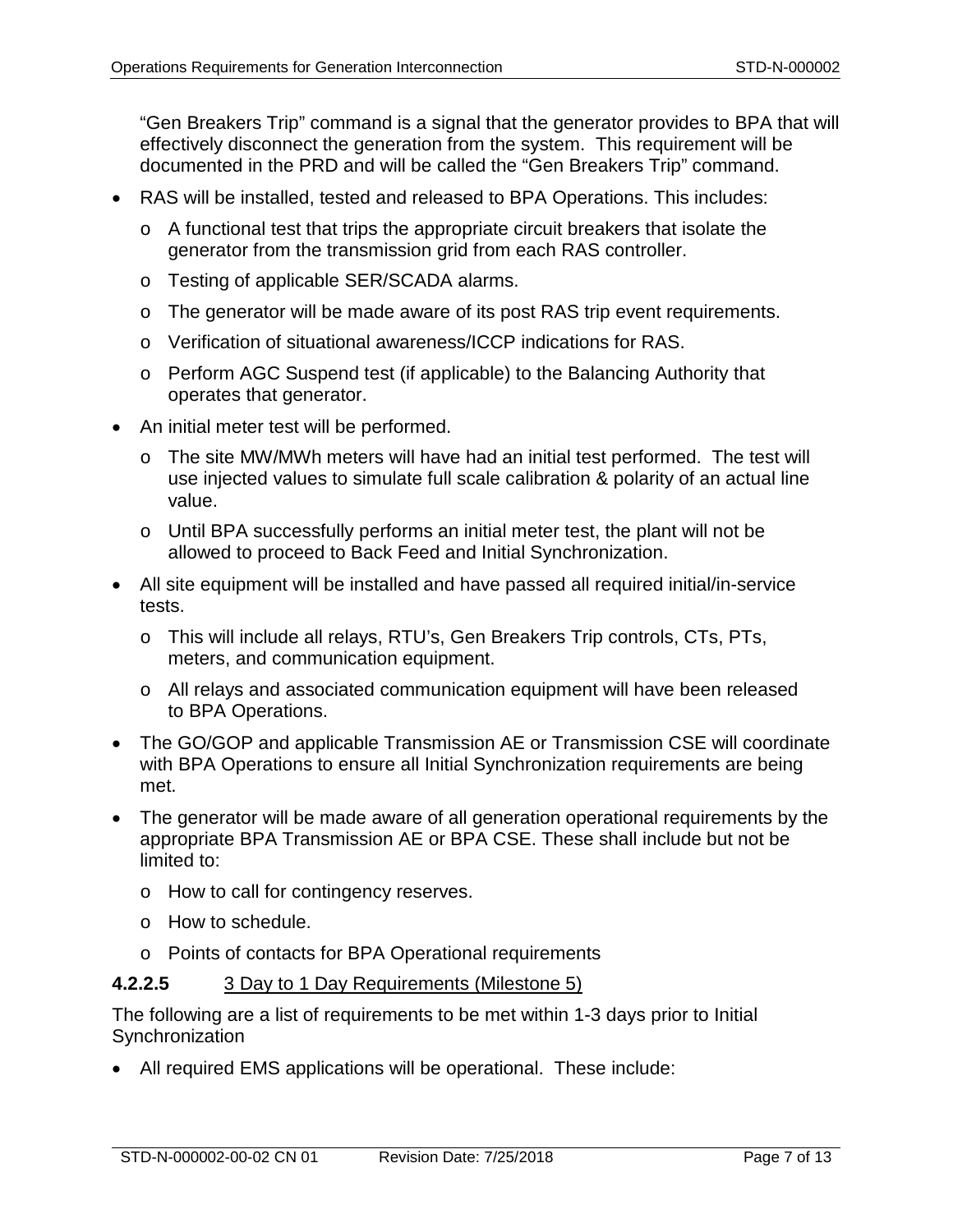"Gen Breakers Trip" command is a signal that the generator provides to BPA that will effectively disconnect the generation from the system. This requirement will be documented in the PRD and will be called the "Gen Breakers Trip" command.

- RAS will be installed, tested and released to BPA Operations. This includes:
	- $\circ$  A functional test that trips the appropriate circuit breakers that isolate the generator from the transmission grid from each RAS controller.
	- o Testing of applicable SER/SCADA alarms.
	- $\circ$  The generator will be made aware of its post RAS trip event requirements.
	- o Verification of situational awareness/ICCP indications for RAS.
	- o Perform AGC Suspend test (if applicable) to the Balancing Authority that operates that generator.
- An initial meter test will be performed.
	- o The site MW/MWh meters will have had an initial test performed. The test will use injected values to simulate full scale calibration & polarity of an actual line value.
	- o Until BPA successfully performs an initial meter test, the plant will not be allowed to proceed to Back Feed and Initial Synchronization.
- All site equipment will be installed and have passed all required initial/in-service tests.
	- o This will include all relays, RTU's, Gen Breakers Trip controls, CTs, PTs, meters, and communication equipment.
	- o All relays and associated communication equipment will have been released to BPA Operations.
- The GO/GOP and applicable Transmission AE or Transmission CSE will coordinate with BPA Operations to ensure all Initial Synchronization requirements are being met.
- The generator will be made aware of all generation operational requirements by the appropriate BPA Transmission AE or BPA CSE. These shall include but not be limited to:
	- o How to call for contingency reserves.
	- o How to schedule.
	- o Points of contacts for BPA Operational requirements

#### <span id="page-6-0"></span>**4.2.2.5** 3 Day to 1 Day Requirements (Milestone 5)

The following are a list of requirements to be met within 1-3 days prior to Initial **Synchronization** 

• All required EMS applications will be operational. These include: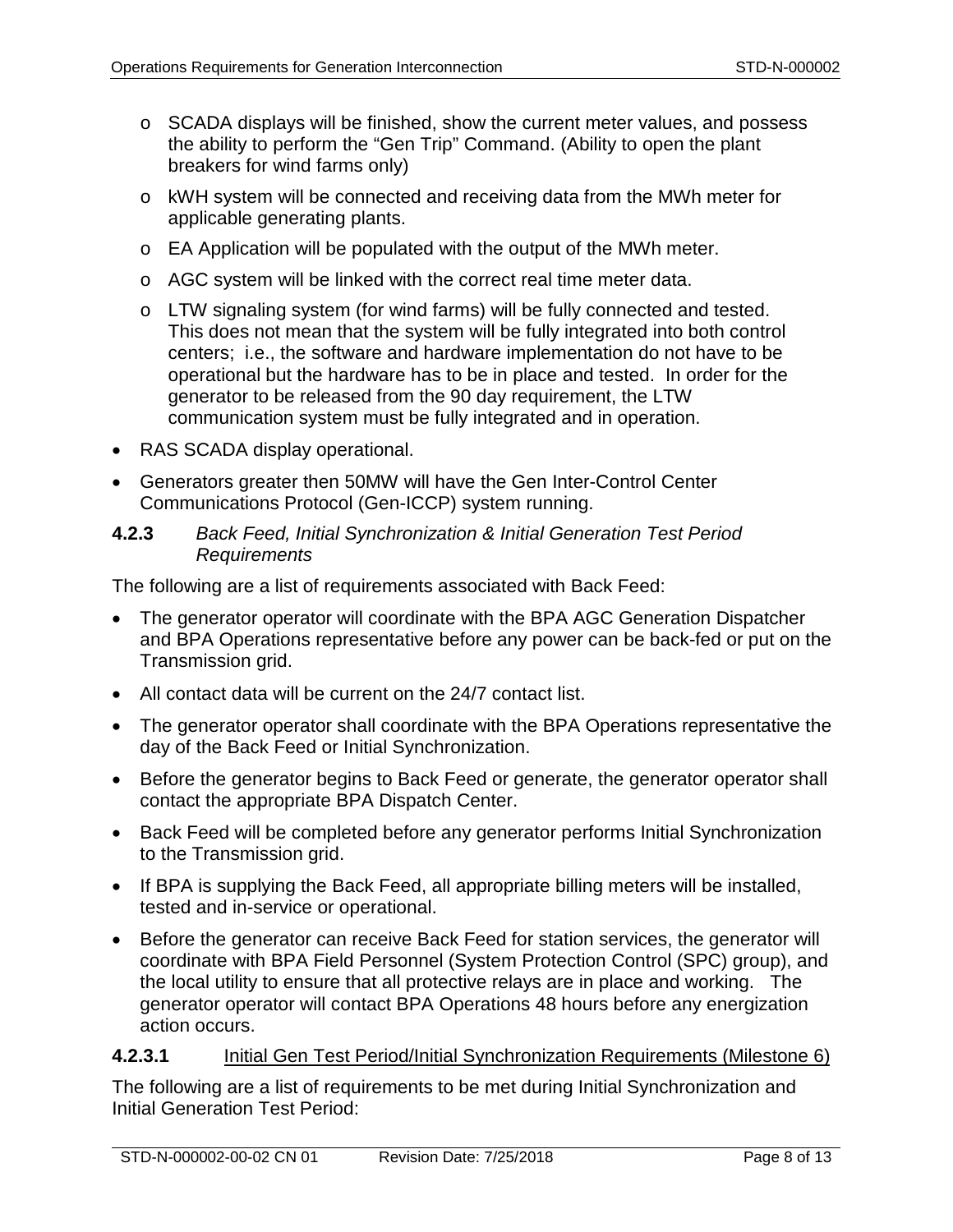- o SCADA displays will be finished, show the current meter values, and possess the ability to perform the "Gen Trip" Command. (Ability to open the plant breakers for wind farms only)
- o kWH system will be connected and receiving data from the MWh meter for applicable generating plants.
- o EA Application will be populated with the output of the MWh meter.
- o AGC system will be linked with the correct real time meter data.
- o LTW signaling system (for wind farms) will be fully connected and tested. This does not mean that the system will be fully integrated into both control centers; i.e., the software and hardware implementation do not have to be operational but the hardware has to be in place and tested. In order for the generator to be released from the 90 day requirement, the LTW communication system must be fully integrated and in operation.
- RAS SCADA display operational.
- Generators greater then 50MW will have the Gen Inter-Control Center Communications Protocol (Gen-ICCP) system running.

#### **4.2.3** *Back Feed, Initial Synchronization & Initial Generation Test Period Requirements*

The following are a list of requirements associated with Back Feed:

- The generator operator will coordinate with the BPA AGC Generation Dispatcher and BPA Operations representative before any power can be back-fed or put on the Transmission grid.
- All contact data will be current on the 24/7 contact list.
- The generator operator shall coordinate with the BPA Operations representative the day of the Back Feed or Initial Synchronization.
- Before the generator begins to Back Feed or generate, the generator operator shall contact the appropriate BPA Dispatch Center.
- Back Feed will be completed before any generator performs Initial Synchronization to the Transmission grid.
- If BPA is supplying the Back Feed, all appropriate billing meters will be installed, tested and in-service or operational.
- Before the generator can receive Back Feed for station services, the generator will coordinate with BPA Field Personnel (System Protection Control (SPC) group), and the local utility to ensure that all protective relays are in place and working. The generator operator will contact BPA Operations 48 hours before any energization action occurs.

#### <span id="page-7-0"></span>**4.2.3.1** Initial Gen Test Period/Initial Synchronization Requirements (Milestone 6)

The following are a list of requirements to be met during Initial Synchronization and Initial Generation Test Period: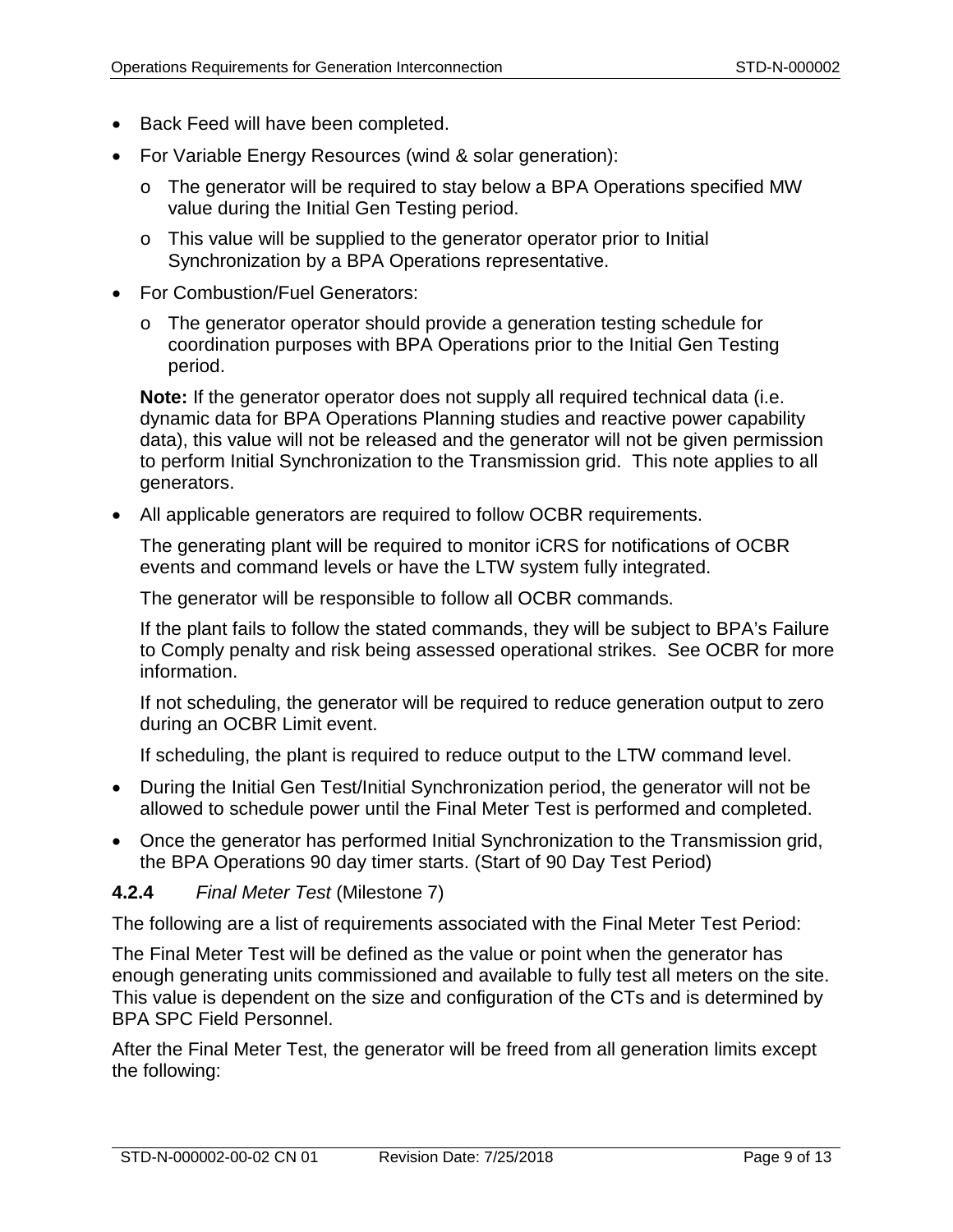- Back Feed will have been completed.
- For Variable Energy Resources (wind & solar generation):
	- o The generator will be required to stay below a BPA Operations specified MW value during the Initial Gen Testing period.
	- o This value will be supplied to the generator operator prior to Initial Synchronization by a BPA Operations representative.
- For Combustion/Fuel Generators:
	- o The generator operator should provide a generation testing schedule for coordination purposes with BPA Operations prior to the Initial Gen Testing period.

**Note:** If the generator operator does not supply all required technical data (i.e. dynamic data for BPA Operations Planning studies and reactive power capability data), this value will not be released and the generator will not be given permission to perform Initial Synchronization to the Transmission grid. This note applies to all generators.

• All applicable generators are required to follow OCBR requirements.

The generating plant will be required to monitor iCRS for notifications of OCBR events and command levels or have the LTW system fully integrated.

The generator will be responsible to follow all OCBR commands.

If the plant fails to follow the stated commands, they will be subject to BPA's Failure to Comply penalty and risk being assessed operational strikes. See OCBR for more information.

If not scheduling, the generator will be required to reduce generation output to zero during an OCBR Limit event.

If scheduling, the plant is required to reduce output to the LTW command level.

- During the Initial Gen Test/Initial Synchronization period, the generator will not be allowed to schedule power until the Final Meter Test is performed and completed.
- Once the generator has performed Initial Synchronization to the Transmission grid, the BPA Operations 90 day timer starts. (Start of 90 Day Test Period)

# <span id="page-8-0"></span>**4.2.4** *Final Meter Test* (Milestone 7)

The following are a list of requirements associated with the Final Meter Test Period:

The Final Meter Test will be defined as the value or point when the generator has enough generating units commissioned and available to fully test all meters on the site. This value is dependent on the size and configuration of the CTs and is determined by BPA SPC Field Personnel.

After the Final Meter Test, the generator will be freed from all generation limits except the following: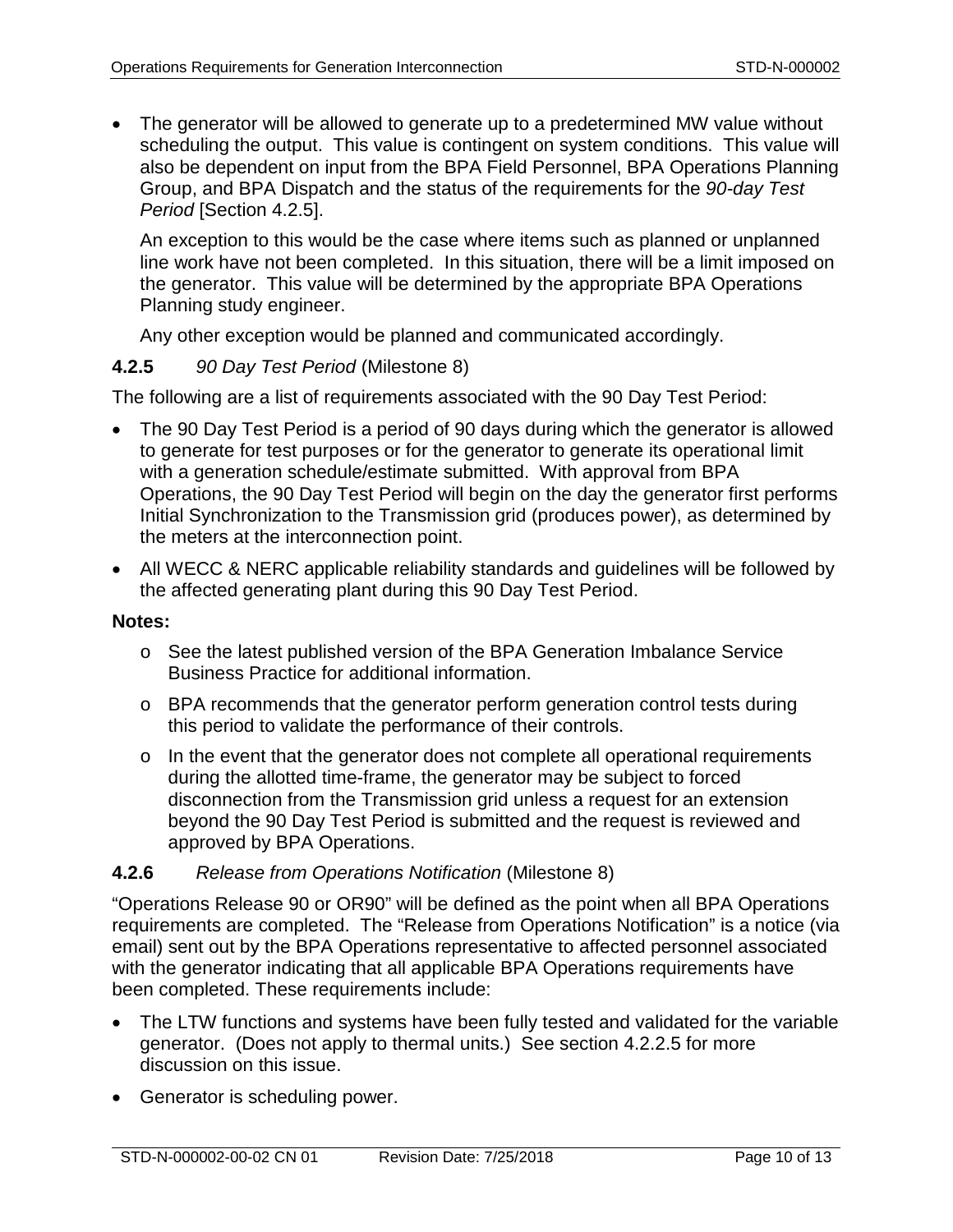• The generator will be allowed to generate up to a predetermined MW value without scheduling the output. This value is contingent on system conditions. This value will also be dependent on input from the BPA Field Personnel, BPA Operations Planning Group, and BPA Dispatch and the status of the requirements for the *90-day Test Period* [Section [4.2.5\]](#page-9-0).

An exception to this would be the case where items such as planned or unplanned line work have not been completed. In this situation, there will be a limit imposed on the generator. This value will be determined by the appropriate BPA Operations Planning study engineer.

Any other exception would be planned and communicated accordingly.

# <span id="page-9-0"></span>**4.2.5** *90 Day Test Period* (Milestone 8)

The following are a list of requirements associated with the 90 Day Test Period:

- The 90 Day Test Period is a period of 90 days during which the generator is allowed to generate for test purposes or for the generator to generate its operational limit with a generation schedule/estimate submitted. With approval from BPA Operations, the 90 Day Test Period will begin on the day the generator first performs Initial Synchronization to the Transmission grid (produces power), as determined by the meters at the interconnection point.
- All WECC & NERC applicable reliability standards and guidelines will be followed by the affected generating plant during this 90 Day Test Period.

#### **Notes:**

- o See the latest published version of the BPA Generation Imbalance Service Business Practice for additional information.
- $\circ$  BPA recommends that the generator perform generation control tests during this period to validate the performance of their controls.
- o In the event that the generator does not complete all operational requirements during the allotted time-frame, the generator may be subject to forced disconnection from the Transmission grid unless a request for an extension beyond the 90 Day Test Period is submitted and the request is reviewed and approved by BPA Operations.

# **4.2.6** *Release from Operations Notification* (Milestone 8)

"Operations Release 90 or OR90" will be defined as the point when all BPA Operations requirements are completed. The "Release from Operations Notification" is a notice (via email) sent out by the BPA Operations representative to affected personnel associated with the generator indicating that all applicable BPA Operations requirements have been completed. These requirements include:

- The LTW functions and systems have been fully tested and validated for the variable generator. (Does not apply to thermal units.) See section [4.2.2.5](#page-6-0) for more discussion on this issue.
- Generator is scheduling power.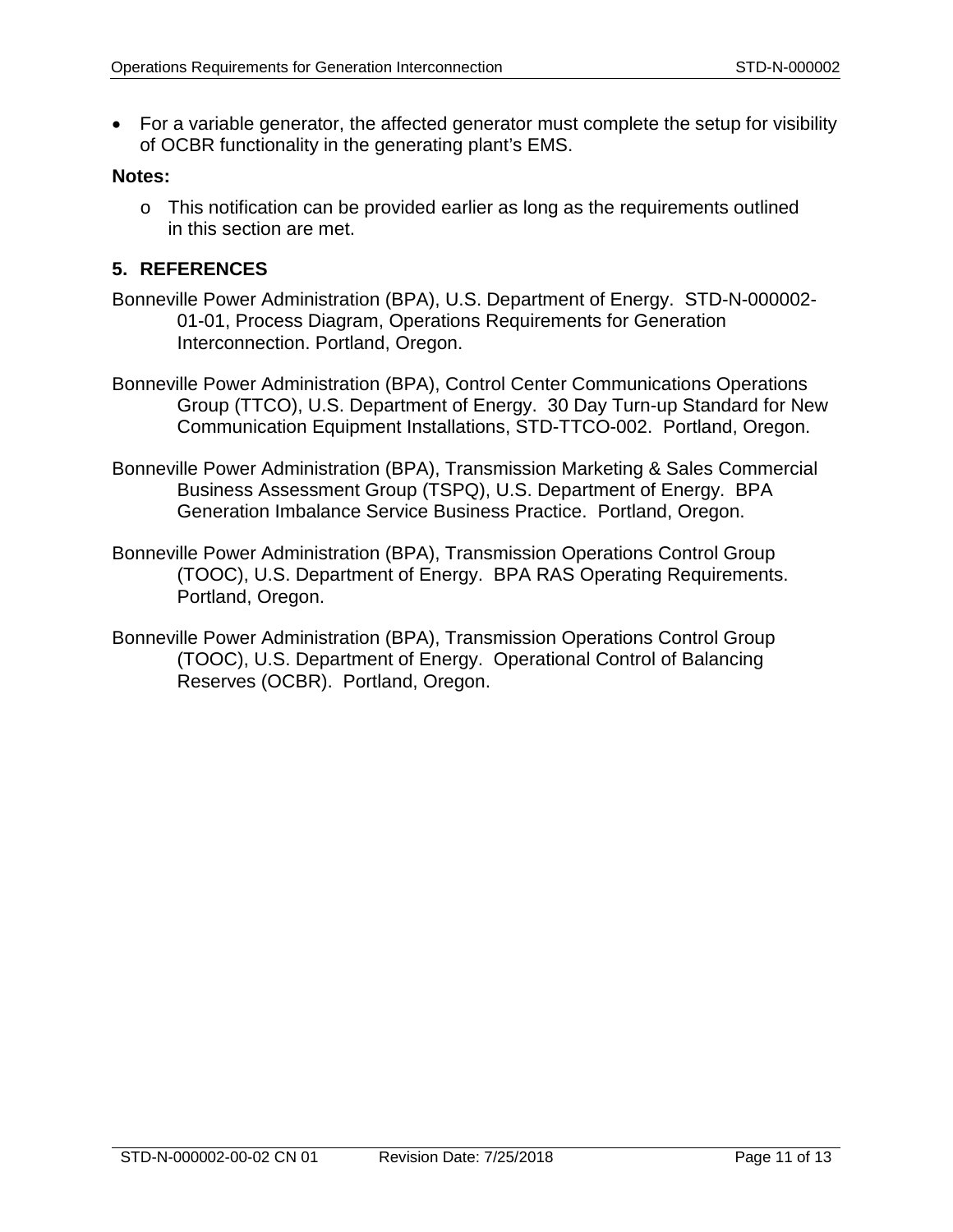• For a variable generator, the affected generator must complete the setup for visibility of OCBR functionality in the generating plant's EMS.

#### **Notes:**

o This notification can be provided earlier as long as the requirements outlined in this section are met.

#### **5. REFERENCES**

- Bonneville Power Administration (BPA), U.S. Department of Energy. STD-N-000002- 01-01, Process Diagram, Operations Requirements for Generation Interconnection. Portland, Oregon.
- Bonneville Power Administration (BPA), Control Center Communications Operations Group (TTCO), U.S. Department of Energy. 30 Day Turn-up Standard for New Communication Equipment Installations, STD-TTCO-002. Portland, Oregon.
- Bonneville Power Administration (BPA), Transmission Marketing & Sales Commercial Business Assessment Group (TSPQ), U.S. Department of Energy. BPA Generation Imbalance Service Business Practice. Portland, Oregon.
- Bonneville Power Administration (BPA), Transmission Operations Control Group (TOOC), U.S. Department of Energy. BPA RAS Operating Requirements. Portland, Oregon.
- Bonneville Power Administration (BPA), Transmission Operations Control Group (TOOC), U.S. Department of Energy. Operational Control of Balancing Reserves (OCBR). Portland, Oregon.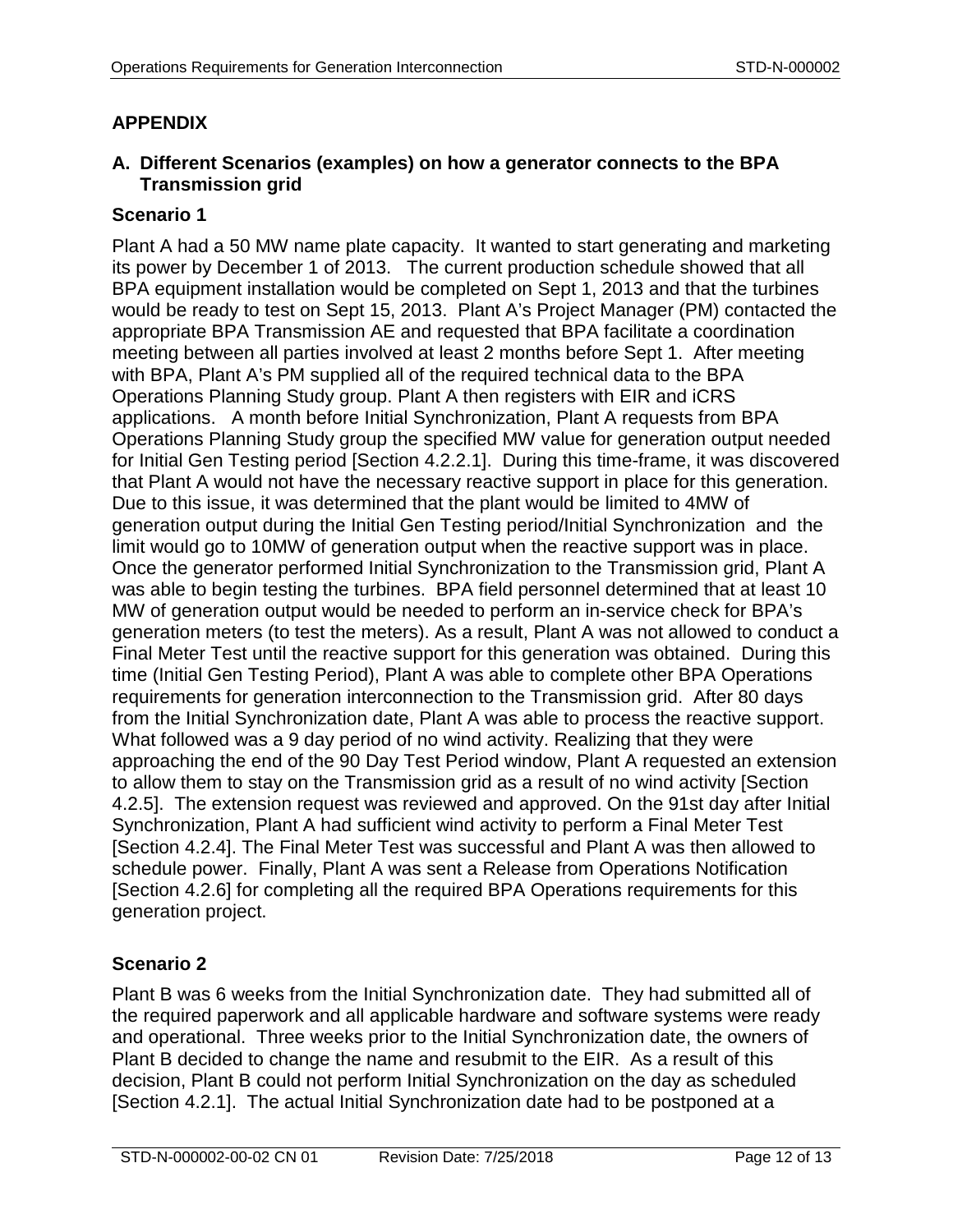# **APPENDIX**

# **A. Different Scenarios (examples) on how a generator connects to the BPA Transmission grid**

# **Scenario 1**

Plant A had a 50 MW name plate capacity. It wanted to start generating and marketing its power by December 1 of 2013. The current production schedule showed that all BPA equipment installation would be completed on Sept 1, 2013 and that the turbines would be ready to test on Sept 15, 2013. Plant A's Project Manager (PM) contacted the appropriate BPA Transmission AE and requested that BPA facilitate a coordination meeting between all parties involved at least 2 months before Sept 1. After meeting with BPA, Plant A's PM supplied all of the required technical data to the BPA Operations Planning Study group. Plant A then registers with EIR and iCRS applications. A month before Initial Synchronization, Plant A requests from BPA Operations Planning Study group the specified MW value for generation output needed for Initial Gen Testing period [Section 4.2.2.1]. During this time-frame, it was discovered that Plant A would not have the necessary reactive support in place for this generation. Due to this issue, it was determined that the plant would be limited to 4MW of generation output during the Initial Gen Testing period/Initial Synchronization and the limit would go to 10MW of generation output when the reactive support was in place. Once the generator performed Initial Synchronization to the Transmission grid, Plant A was able to begin testing the turbines. BPA field personnel determined that at least 10 MW of generation output would be needed to perform an in-service check for BPA's generation meters (to test the meters). As a result, Plant A was not allowed to conduct a Final Meter Test until the reactive support for this generation was obtained. During this time (Initial Gen Testing Period), Plant A was able to complete other BPA Operations requirements for generation interconnection to the Transmission grid. After 80 days from the Initial Synchronization date, Plant A was able to process the reactive support. What followed was a 9 day period of no wind activity. Realizing that they were approaching the end of the 90 Day Test Period window, Plant A requested an extension to allow them to stay on the Transmission grid as a result of no wind activity [Section 4.2.5]. The extension request was reviewed and approved. On the 91st day after Initial Synchronization, Plant A had sufficient wind activity to perform a Final Meter Test [Section 4.2.4]. The Final Meter Test was successful and Plant A was then allowed to schedule power. Finally, Plant A was sent a Release from Operations Notification [Section 4.2.6] for completing all the required BPA Operations requirements for this generation project.

# **Scenario 2**

Plant B was 6 weeks from the Initial Synchronization date. They had submitted all of the required paperwork and all applicable hardware and software systems were ready and operational. Three weeks prior to the Initial Synchronization date, the owners of Plant B decided to change the name and resubmit to the EIR. As a result of this decision, Plant B could not perform Initial Synchronization on the day as scheduled [Section 4.2.1]. The actual Initial Synchronization date had to be postponed at a